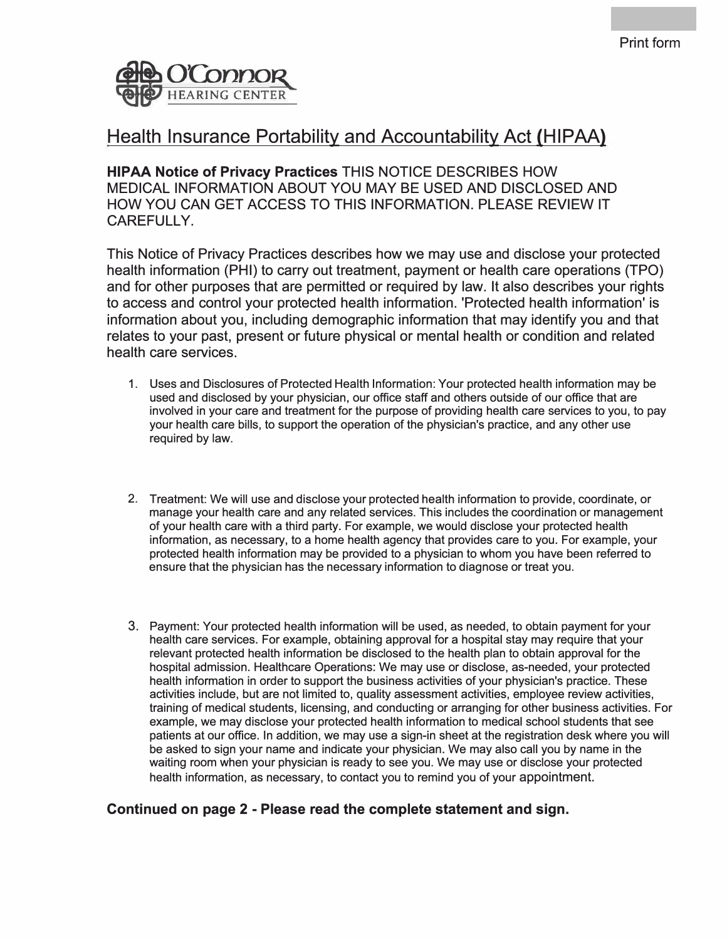

## Health Insurance Portability and Accountability Act (HIPAA)

**HIPAA Notice of Privacy Practices** THIS NOTICE DESCRIBES HOW MEDICAL INFORMATION ABOUT YOU MAY BE USED AND DISCLOSED AND HOW YOU CAN GET ACCESS TO THIS INFORMATION. PLEASE REVIEW IT CAREFULLY.

This Notice of Privacy Practices describes how we may use and disclose your protected health information (PHI) to carry out treatment, payment or health care operations (TPO) and for other purposes that are permitted or required by law. It also describes your rights to access and control your protected health information. 'Protected health information' is information about you, including demographic information that may identify you and that relates to your past, present or future physical or mental health or condition and related health care services.

- 1. Uses and Disclosures of Protected Health Information: Your protected health information may be used and disclosed by your physician, our office staff and others outside of our office that are involved in your care and treatment for the purpose of providing health care services to you, to pay your health care bills, to support the operation of the physician's practice, and any other use required by law.
- 2. Treatment: We will use and disclose your protected health information to provide, coordinate, or manage your health care and any related services. This includes the coordination or management of your health care with a third party. For example, we would disclose your protected health information, as necessary, to a home health agency that provides care to you. For example, your protected health information may be provided to a physician to whom you have been referred to ensure that the physician has the necessary information to diagnose or treat you.
- 3. Payment: Your protected health information will be used, as needed, to obtain payment for your health care services. For example, obtaining approval for a hospital stay may require that your relevant protected health information be disclosed to the health plan to obtain approval for the hospital admission. Healthcare Operations: We may use or disclose, as-needed, your protected health information in order to support the business activities of your physician's practice. These activities include, but are not limited to, quality assessment activities, employee review activities, training of medical students, licensing, and conducting or arranging for other business activities. For example, we may disclose your protected health information to medical school students that see patients at our office. In addition, we may use a sign-in sheet at the registration desk where you will be asked to sign your name and indicate your physician. We may also call you by name in the waiting room when your physician is ready to see you. We may use or disclose your protected health information, as necessary, to contact you to remind you of your appointment.

## **Continued on page 2 - Please read the complete statement and sign.**